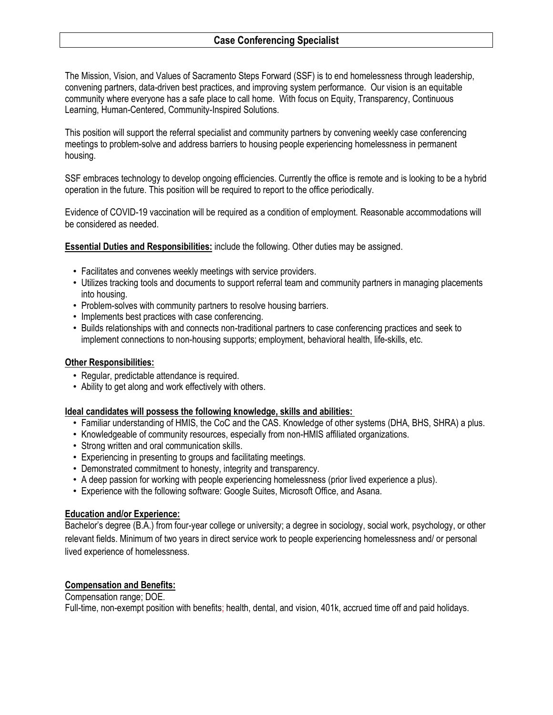The Mission, Vision, and Values of Sacramento Steps Forward (SSF) is to end homelessness through leadership, convening partners, data-driven best practices, and improving system performance. Our vision is an equitable community where everyone has a safe place to call home. With focus on Equity, Transparency, Continuous Learning, Human-Centered, Community-Inspired Solutions.

This position will support the referral specialist and community partners by convening weekly case conferencing meetings to problem-solve and address barriers to housing people experiencing homelessness in permanent housing.

SSF embraces technology to develop ongoing efficiencies. Currently the office is remote and is looking to be a hybrid operation in the future. This position will be required to report to the office periodically.

Evidence of COVID-19 vaccination will be required as a condition of employment. Reasonable accommodations will be considered as needed.

**Essential Duties and Responsibilities:** include the following. Other duties may be assigned.

- Facilitates and convenes weekly meetings with service providers.
- Utilizes tracking tools and documents to support referral team and community partners in managing placements into housing.
- Problem-solves with community partners to resolve housing barriers.
- Implements best practices with case conferencing.
- Builds relationships with and connects non-traditional partners to case conferencing practices and seek to implement connections to non-housing supports; employment, behavioral health, life-skills, etc.

### **Other Responsibilities:**

- Regular, predictable attendance is required.
- Ability to get along and work effectively with others.

## **Ideal candidates will possess the following knowledge, skills and abilities:**

- Familiar understanding of HMIS, the CoC and the CAS. Knowledge of other systems (DHA, BHS, SHRA) a plus.
- Knowledgeable of community resources, especially from non-HMIS affiliated organizations.
- Strong written and oral communication skills.
- Experiencing in presenting to groups and facilitating meetings.
- Demonstrated commitment to honesty, integrity and transparency.
- A deep passion for working with people experiencing homelessness (prior lived experience a plus).
- Experience with the following software: Google Suites, Microsoft Office, and Asana.

## **Education and/or Experience:**

Bachelor's degree (B.A.) from four-year college or university; a degree in sociology, social work, psychology, or other relevant fields. Minimum of two years in direct service work to people experiencing homelessness and/ or personal lived experience of homelessness.

## **Compensation and Benefits:**

Compensation range; DOE. Full-time, non-exempt position with benefits; health, dental, and vision, 401k, accrued time off and paid holidays.